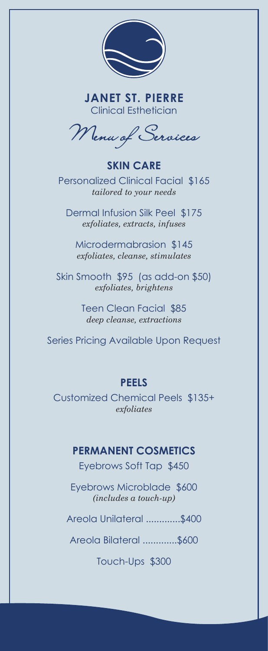

**JANET ST. PIERRE** Clinical Esthetician

Menu of Services

## **SKIN CARE**

Personalized Clinical Facial \$165 *tailored to your needs*

Dermal Infusion Silk Peel \$175 *exfoliates, extracts, infuses*

Microdermabrasion \$145 *exfoliates, cleanse, stimulates*

Skin Smooth \$95 (as add-on \$50) *exfoliates, brightens*

> Teen Clean Facial \$85 *deep cleanse, extractions*

Series Pricing Available Upon Request

## **PEELS**

Customized Chemical Peels \$135+ *exfoliates*

## **PERMANENT COSMETICS**

Eyebrows Soft Tap \$450

Eyebrows Microblade \$600 *(includes a touch-up)*

Areola Unilateral .............\$400

Areola Bilateral .............\$600

Touch-Ups \$300